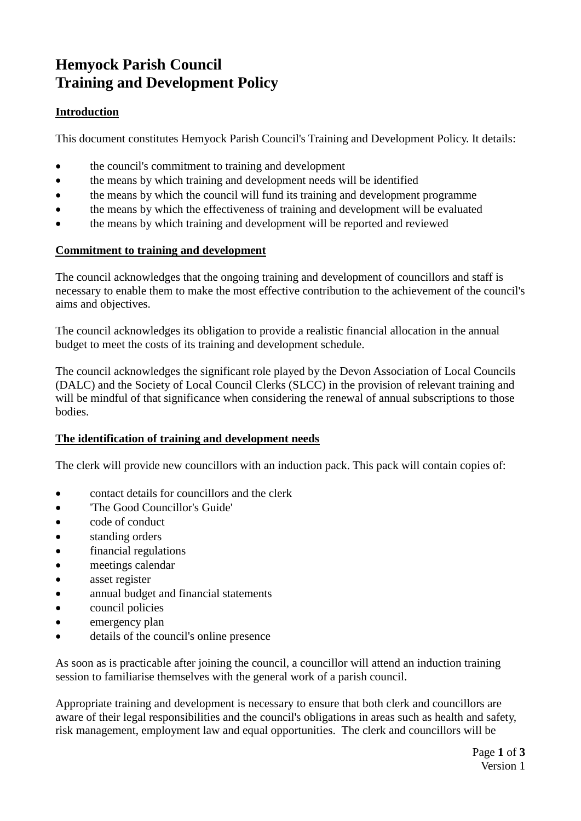# **Hemyock Parish Council Training and Development Policy**

## **Introduction**

This document constitutes Hemyock Parish Council's Training and Development Policy. It details:

- the council's commitment to training and development
- the means by which training and development needs will be identified
- the means by which the council will fund its training and development programme
- the means by which the effectiveness of training and development will be evaluated
- the means by which training and development will be reported and reviewed

### **Commitment to training and development**

The council acknowledges that the ongoing training and development of councillors and staff is necessary to enable them to make the most effective contribution to the achievement of the council's aims and objectives.

The council acknowledges its obligation to provide a realistic financial allocation in the annual budget to meet the costs of its training and development schedule.

The council acknowledges the significant role played by the Devon Association of Local Councils (DALC) and the Society of Local Council Clerks (SLCC) in the provision of relevant training and will be mindful of that significance when considering the renewal of annual subscriptions to those **bodies** 

#### **The identification of training and development needs**

The clerk will provide new councillors with an induction pack. This pack will contain copies of:

- contact details for councillors and the clerk
- 'The Good Councillor's Guide'
- code of conduct
- standing orders
- financial regulations
- meetings calendar
- asset register
- annual budget and financial statements
- council policies
- emergency plan
- details of the council's online presence

As soon as is practicable after joining the council, a councillor will attend an induction training session to familiarise themselves with the general work of a parish council.

Appropriate training and development is necessary to ensure that both clerk and councillors are aware of their legal responsibilities and the council's obligations in areas such as health and safety, risk management, employment law and equal opportunities. The clerk and councillors will be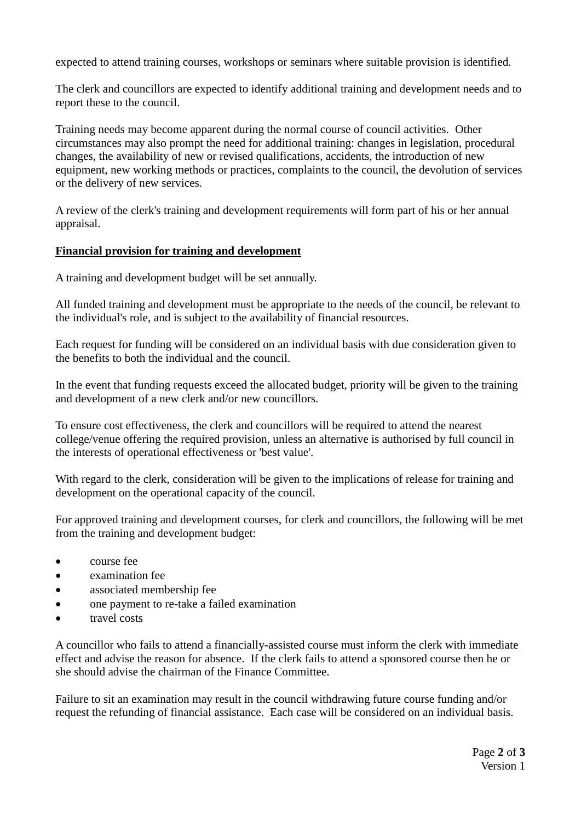expected to attend training courses, workshops or seminars where suitable provision is identified.

The clerk and councillors are expected to identify additional training and development needs and to report these to the council.

Training needs may become apparent during the normal course of council activities. Other circumstances may also prompt the need for additional training: changes in legislation, procedural changes, the availability of new or revised qualifications, accidents, the introduction of new equipment, new working methods or practices, complaints to the council, the devolution of services or the delivery of new services.

A review of the clerk's training and development requirements will form part of his or her annual appraisal.

### **Financial provision for training and development**

A training and development budget will be set annually.

All funded training and development must be appropriate to the needs of the council, be relevant to the individual's role, and is subject to the availability of financial resources.

Each request for funding will be considered on an individual basis with due consideration given to the benefits to both the individual and the council.

In the event that funding requests exceed the allocated budget, priority will be given to the training and development of a new clerk and/or new councillors.

To ensure cost effectiveness, the clerk and councillors will be required to attend the nearest college/venue offering the required provision, unless an alternative is authorised by full council in the interests of operational effectiveness or 'best value'.

With regard to the clerk, consideration will be given to the implications of release for training and development on the operational capacity of the council.

For approved training and development courses, for clerk and councillors, the following will be met from the training and development budget:

- course fee
- examination fee
- associated membership fee
- one payment to re-take a failed examination
- travel costs

A councillor who fails to attend a financially-assisted course must inform the clerk with immediate effect and advise the reason for absence. If the clerk fails to attend a sponsored course then he or she should advise the chairman of the Finance Committee.

Failure to sit an examination may result in the council withdrawing future course funding and/or request the refunding of financial assistance. Each case will be considered on an individual basis.